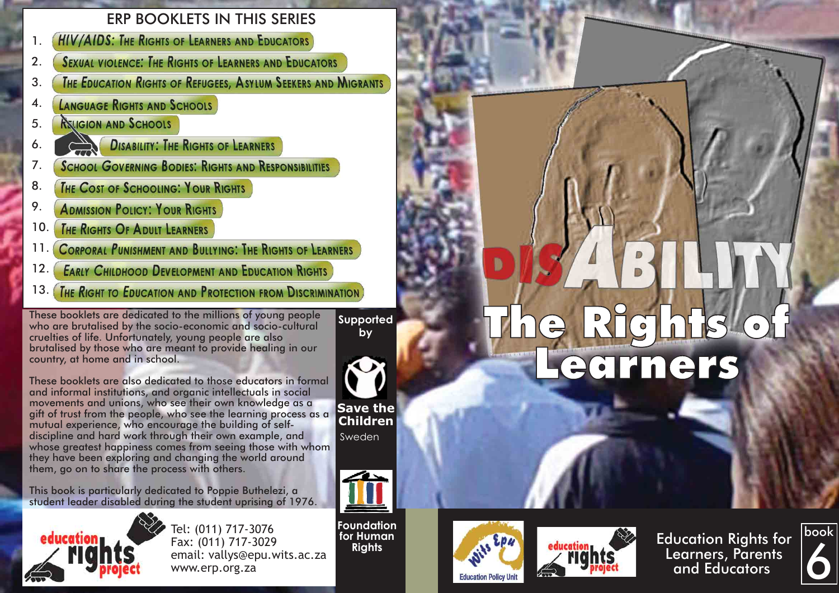# ERP BOOKLETS IN THIS SERIES

- **HIV/AIDS: THE RIGHTS OF LEARNERS AND EDUCATORS** 1.
- **SEXUAL VIOLENCE: THE RIGHTS OF LEARNERS AND EDUCATORS** 2.
- **THE EDUCATION RIGHTS OF REFUGEES. ASYLUM SEEKERS AND MIGRANTS** 3.
- LANGUAGE RIGHTS AND SCHOOLS 4.
- **RELIGION AND SCHOOLS** 5.

6.

- **DISABILITY: THE RIGHTS OF LEARNERS**
- **SCHOOL GOVERNING BODIES: RIGHTS AND RESPONSIBILITIES** 7.
- THE COST OF SCHOOLING: YOUR RIGHTS 8.
- 9. **ADMISSION POLICY: YOUR RIGHTS**
- THE RIGHTS OF ADULT LEARNERS 10.
- **CORPORAL PUNISHMENT AND BULLYING: THE RIGHTS OF LEARNERS** 11.
- **EARLY CHILDHOOD DEVELOPMENT AND EDUCATION RIGHTS** 12.
- THE RIGHT TO EDUCATION AND PROTECTION FROM DISCRIMINATION 13.

These booklets are dedicated to the millions of young people who are brutalised by the socio-economic and socio-cultural cruelties of life. Unfortunately, young people are also brutalised by those who are meant to provide healing in our country, at home and in school.

**Supported** 



**Children** Sweden

These booklets are also dedicated to those educators in formal and informal institutions, and organic intellectuals in social movements and unions, who see their own knowledge as a gift of trust from the people, who see the learning process as a mutual experience, who encourage the building of selfdiscipline and hard work through their own example, and whose greatest happiness comes from seeing those with whom they have been exploring and changing the world around them, go on to share the process with others.

This book is particularly dedicated to Poppie Buthelezi, a student leader disabled during the student uprising of 1976.



Tel: (011) 717-3076 Fax: (011) 717-3029 email: vallys@epu.wits.ac.za www.erp.org.za

**Foundation for Human Rights**





Education Rights for Learners, Parents and Educators



# **EXIGINIS'**<br>ecriners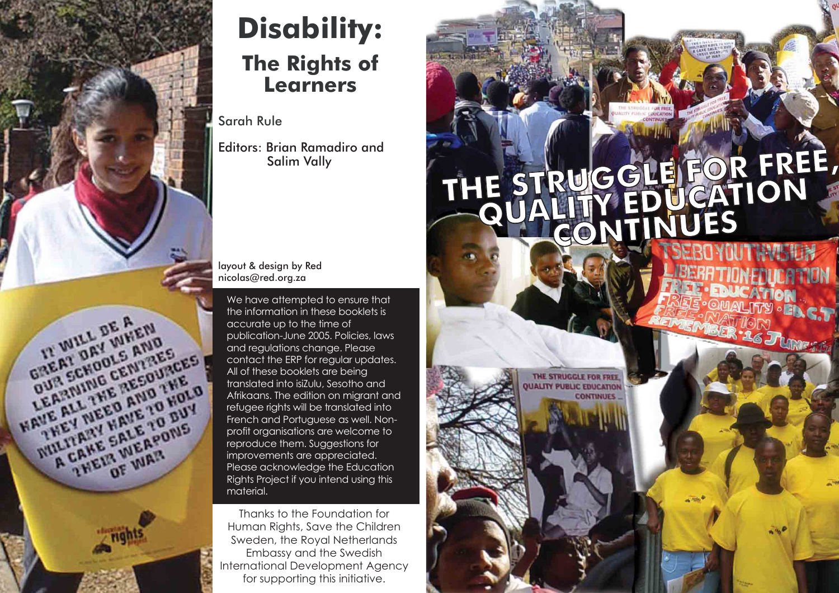

# **Disability: The Rights of Learners**

Sarah Rule

Editors: Brian Ramadiro and Salim Vally

#### layout & design by Red nicolas@red.org.za

We have attempted to ensure that the information in these booklets is accurate up to the time of publication-June 2005. Policies, laws and regulations change. Please contact the ERP for regular updates. All of these booklets are being translated into isiZulu, Sesotho and Afrikaans. The edition on migrant and refugee rights will be translated into French and Portuguese as well. Nonprofit organisations are welcome to reproduce them. Suggestions for improvements are appreciated. Please acknowledge the Education Rights Project if you intend using this material.

Thanks to the Foundation for Human Rights, Save the Children Sweden, the Royal Netherlands Embassy and the Swedish International Development Agency for supporting this initiative.

# THE STRUGGLE FOR FREE **, FOR FREE, THE STRUGGLE FREE, DUALITY EDUCATION**  $\overline{COMINUES}$

THE STRUGGLE FOR FREE **UALITY PUBLIC EDUCATION** 

**CONTINUES**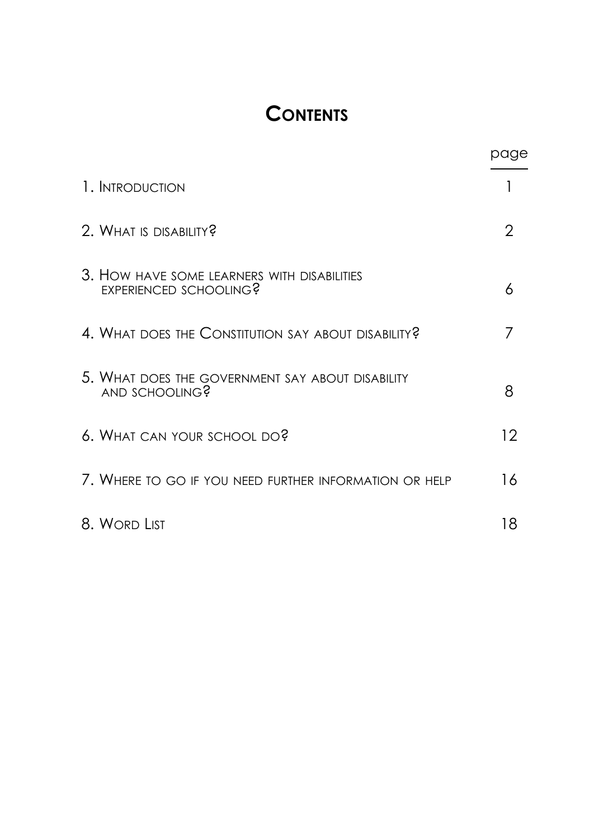# **CONTENTS**

|                                                                       | page |
|-----------------------------------------------------------------------|------|
| 1. INTRODUCTION                                                       |      |
| 2. WHAT IS DISABILITY?                                                | 2    |
| 3. HOW HAVE SOME LEARNERS WITH DISABILITIES<br>EXPERIENCED SCHOOLING? | 6    |
| 4. WHAT DOES THE CONSTITUTION SAY ABOUT DISABILITY?                   | 7    |
| 5. WHAT DOES THE GOVERNMENT SAY ABOUT DISABILITY<br>AND SCHOOLING?    | 8    |
| 6. WHAT CAN YOUR SCHOOL DO?                                           | 12   |
| 7. WHERE TO GO IF YOU NEED FURTHER INFORMATION OR HELP                | 16   |
| 8. WORD LIST                                                          | 18   |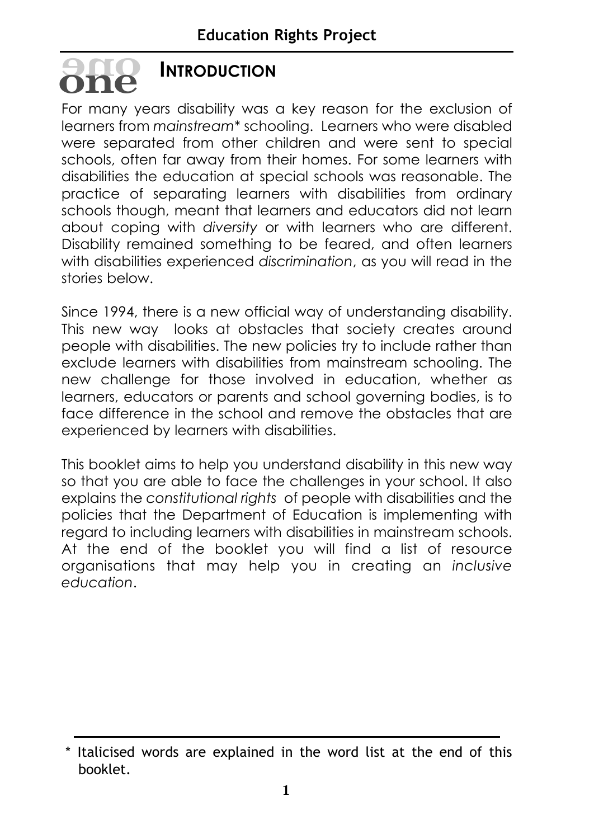# **INTRODUCTION oneone**

For many years disability was a key reason for the exclusion of learners from *mainstream\** schooling. Learners who were disabled were separated from other children and were sent to special schools, often far away from their homes. For some learners with disabilities the education at special schools was reasonable. The practice of separating learners with disabilities from ordinary schools though, meant that learners and educators did not learn about coping with *diversity* or with learners who are different. Disability remained something to be feared, and often learners with disabilities experienced *discrimination*, as you will read in the stories below.

Since 1994, there is a new official way of understanding disability. This new way looks at obstacles that society creates around people with disabilities. The new policies try to include rather than exclude learners with disabilities from mainstream schooling. The new challenge for those involved in education, whether as learners, educators or parents and school governing bodies, is to face difference in the school and remove the obstacles that are experienced by learners with disabilities.

This booklet aims to help you understand disability in this new way so that you are able to face the challenges in your school. It also explains the *constitutional rights* of people with disabilities and the policies that the Department of Education is implementing with regard to including learners with disabilities in mainstream schools. At the end of the booklet you will find a list of resource organisations that may help you in creating an *inclusive education*.

<sup>\*</sup> Italicised words are explained in the word list at the end of this booklet.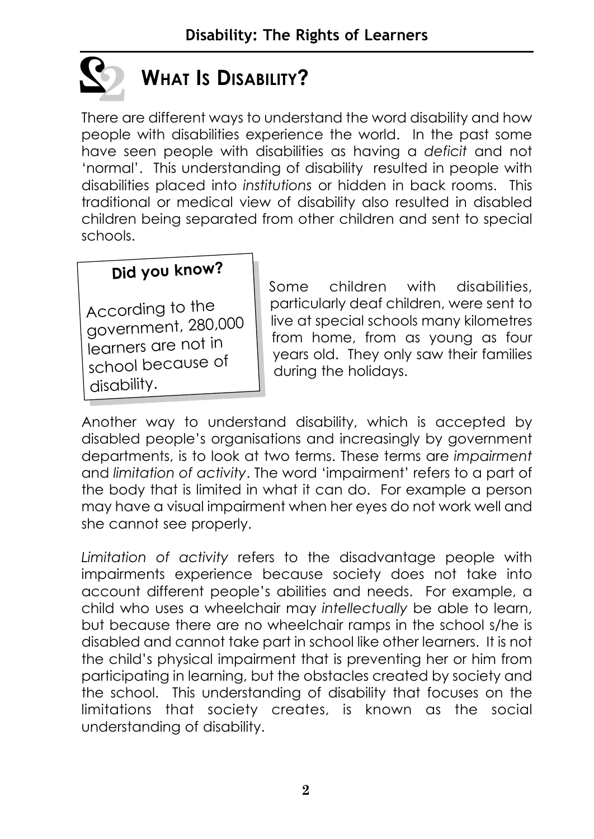

# **WHAT IS DISABILITY?**

There are different ways to understand the word disability and how people with disabilities experience the world. In the past some have seen people with disabilities as having a *deficit* and not 'normal'. This understanding of disability resulted in people with disabilities placed into *institutions* or hidden in back rooms. This traditional or medical view of disability also resulted in disabled children being separated from other children and sent to special schools.

#### **Did you know?**

According to the government, 280,000 learners are not in school because o<sup>f</sup> disability.

Some children with disabilities, particularly deaf children, were sent to live at special schools many kilometres from home, from as young as four years old. They only saw their families during the holidays.

Another way to understand disability, which is accepted by disabled people's organisations and increasingly by government departments, is to look at two terms. These terms are *impairment* and *limitation of activity*. The word 'impairment' refers to a part of the body that is limited in what it can do. For example a person may have a visual impairment when her eyes do not work well and she cannot see properly.

*Limitation of activity* refers to the disadvantage people with impairments experience because society does not take into account different people's abilities and needs. For example, a child who uses a wheelchair may *intellectually* be able to learn, but because there are no wheelchair ramps in the school s/he is disabled and cannot take part in school like other learners. It is not the child's physical impairment that is preventing her or him from participating in learning, but the obstacles created by society and the school. This understanding of disability that focuses on the limitations that society creates, is known as the social understanding of disability.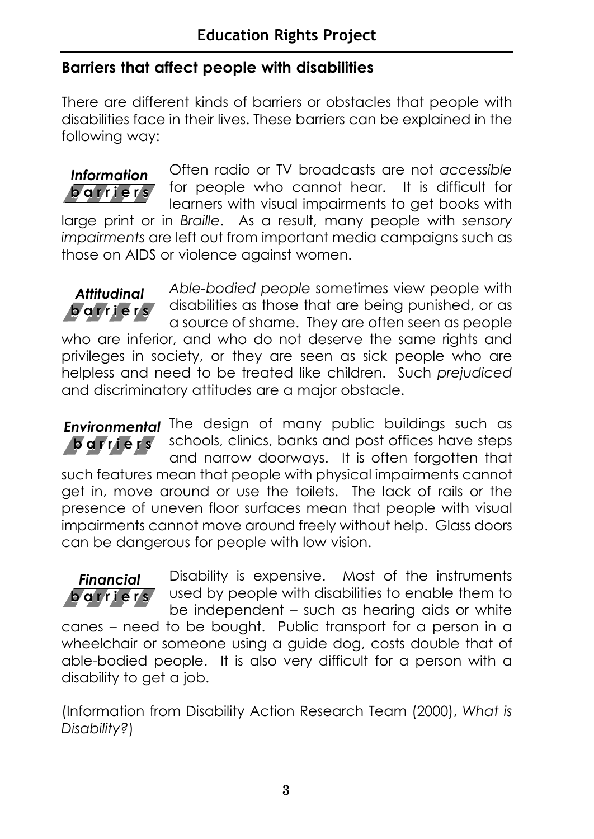#### **Barriers that affect people with disabilities**

There are different kinds of barriers or obstacles that people with disabilities face in their lives. These barriers can be explained in the following way:



Often radio or TV broadcasts are not *accessible* for people who cannot hear. It is difficult for learners with visual impairments to get books with

large print or in *Braille*. As a result, many people with *sensory impairments* are left out from important media campaigns such as those on AIDS or violence against women.

*Able-bodied people* sometimes view people with disabilities as those that are being punished, or as a source of shame. They are often seen as people who are inferior, and who do not deserve the same rights and privileges in society, or they are seen as sick people who are helpless and need to be treated like children. Such *prejudiced* and discriminatory attitudes are a major obstacle. **barriers** *Attitudinal*

**Environmental** The design of many public buildings such as schools, clinics, banks and post offices have steps and narrow doorways. It is often forgotten that such features mean that people with physical impairments cannot get in, move around or use the toilets. The lack of rails or the presence of uneven floor surfaces mean that people with visual impairments cannot move around freely without help. Glass doors can be dangerous for people with low vision. **barriers**

#### **barriers** *Financial*

Disability is expensive. Most of the instruments used by people with disabilities to enable them to be independent – such as hearing aids or white

canes – need to be bought. Public transport for a person in a wheelchair or someone using a guide dog, costs double that of able-bodied people. It is also very difficult for a person with a disability to get a job.

(Information from Disability Action Research Team (2000), *What is Disability?*)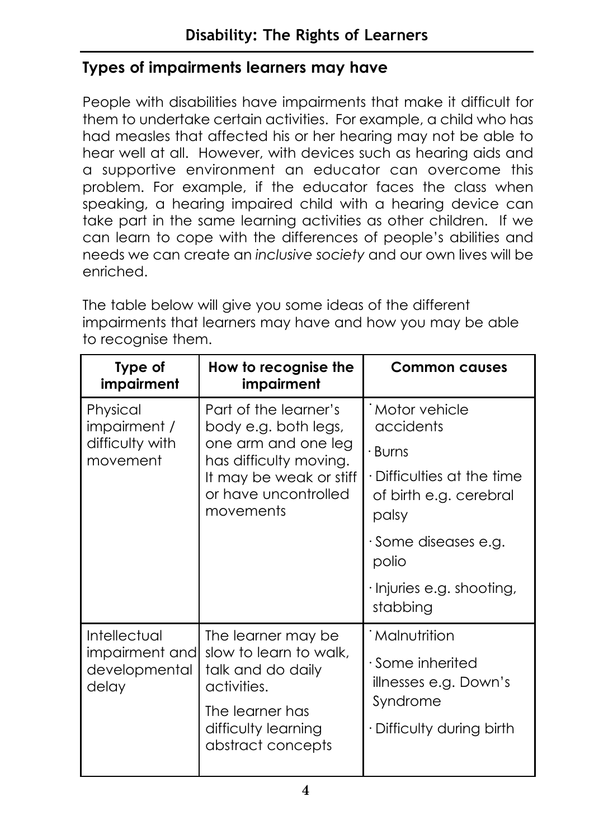#### **Types of impairments learners may have**

People with disabilities have impairments that make it difficult for them to undertake certain activities. For example, a child who has had measles that affected his or her hearing may not be able to hear well at all. However, with devices such as hearing aids and a supportive environment an educator can overcome this problem. For example, if the educator faces the class when speaking, a hearing impaired child with a hearing device can take part in the same learning activities as other children. If we can learn to cope with the differences of people's abilities and needs we can create an *inclusive society* and our own lives will be enriched.

The table below will give you some ideas of the different impairments that learners may have and how you may be able to recognise them.

| Type of<br>impairment                                    | How to recognise the<br>impairment                                                                                                                             | <b>Common causes</b>                                                                                                                                                                               |
|----------------------------------------------------------|----------------------------------------------------------------------------------------------------------------------------------------------------------------|----------------------------------------------------------------------------------------------------------------------------------------------------------------------------------------------------|
| Physical<br>impairment /<br>difficulty with<br>movement  | Part of the learner's<br>body e.g. both legs,<br>one arm and one leg<br>has difficulty moving.<br>It may be weak or stiff<br>or have uncontrolled<br>movements | Motor vehicle<br>accidents<br>• Burns<br>$\cdot$ Difficulties at the time<br>of birth e.g. cerebral<br>palsy<br>$\cdot$ Some diseases e.g.<br>polio<br>$\cdot$ Injuries e.g. shooting,<br>stabbing |
| Intellectual<br>impairment and<br>developmental<br>delay | The learner may be<br>slow to learn to walk,<br>talk and do daily<br>activities.<br>The learner has<br>difficulty learning<br>abstract concepts                | <b>Malnutrition</b><br>$\cdot$ Some inherited<br>illnesses e.g. Down's<br>Syndrome<br>· Difficulty during birth                                                                                    |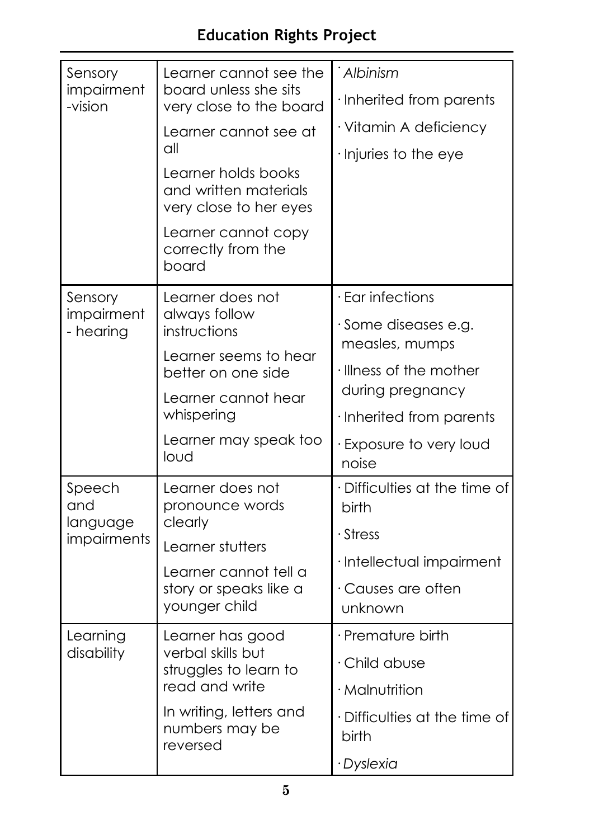# **Education Rights Project**

| Sensory<br>impairment<br>-vision | Learner cannot see the<br>board unless she sits<br>very close to the board | Albinism<br>· Inherited from parents          |  |  |
|----------------------------------|----------------------------------------------------------------------------|-----------------------------------------------|--|--|
|                                  | Learner cannot see at                                                      | · Vitamin A deficiency                        |  |  |
|                                  | all                                                                        | · Injuries to the eye                         |  |  |
|                                  | Learner holds books<br>and written materials<br>very close to her eyes     |                                               |  |  |
|                                  | Learner cannot copy<br>correctly from the<br>board                         |                                               |  |  |
| Sensory                          | Learner does not                                                           | · Ear infections                              |  |  |
| impairment<br>- hearing          | always follow<br>instructions                                              | Some diseases e.g.<br>measles, mumps          |  |  |
|                                  | Learner seems to hear<br>better on one side                                | · Illness of the mother                       |  |  |
|                                  | Learner cannot hear                                                        | during pregnancy                              |  |  |
|                                  | whispering                                                                 | · Inherited from parents                      |  |  |
|                                  | Learner may speak too<br>loud                                              | · Exposure to very loud<br>noise              |  |  |
| Speech<br>and                    | Learner does not<br>pronounce words                                        | · Difficulties at the time of<br><b>birth</b> |  |  |
| language<br>impairments          | clearly                                                                    | $\cdot$ Stress                                |  |  |
|                                  | Learner stutters<br>Learner cannot tell a                                  | · Intellectual impairment                     |  |  |
|                                  | story or speaks like a<br>younger child                                    | Causes are often<br>unknown                   |  |  |
| Learning                         | Learner has good                                                           | · Premature birth                             |  |  |
| disability                       | verbal skills but<br>struggles to learn to                                 | · Child abuse                                 |  |  |
|                                  | read and write                                                             | · Malnutrition                                |  |  |
|                                  | In writing, letters and<br>numbers may be<br>reversed                      | · Difficulties at the time of<br>birth        |  |  |
|                                  |                                                                            | · Dyslexia                                    |  |  |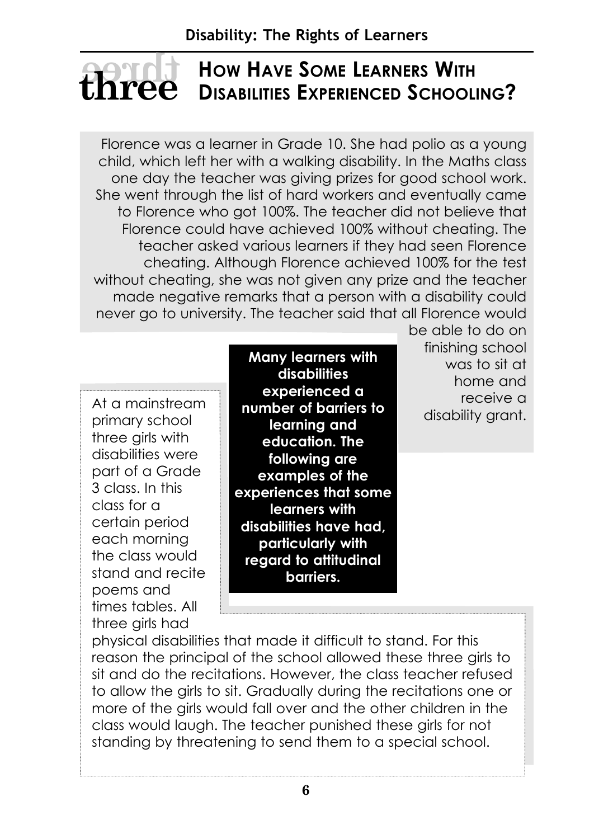#### **HOW HAVE SOME LEARNERS WITH DISABILITIES EXPERIENCED SCHOOLING? hree**

Florence was a learner in Grade 10. She had polio as a young child, which left her with a walking disability. In the Maths class one day the teacher was giving prizes for good school work. She went through the list of hard workers and eventually came to Florence who got 100%. The teacher did not believe that Florence could have achieved 100% without cheating. The teacher asked various learners if they had seen Florence cheating. Although Florence achieved 100% for the test without cheating, she was not given any prize and the teacher made negative remarks that a person with a disability could never go to university. The teacher said that all Florence would

At a mainstream primary school three girls with disabilities were part of a Grade 3 class. In this class for a certain period each morning the class would stand and recite poems and times tables. All three girls had

**Many learners with disabilities experienced a number of barriers to learning and education. The following are examples of the experiences that some learners with disabilities have had, particularly with regard to attitudinal barriers.**

be able to do on finishing school was to sit at home and receive a disability grant.

physical disabilities that made it difficult to stand. For this reason the principal of the school allowed these three girls to sit and do the recitations. However, the class teacher refused to allow the girls to sit. Gradually during the recitations one or more of the girls would fall over and the other children in the class would laugh. The teacher punished these girls for not standing by threatening to send them to a special school.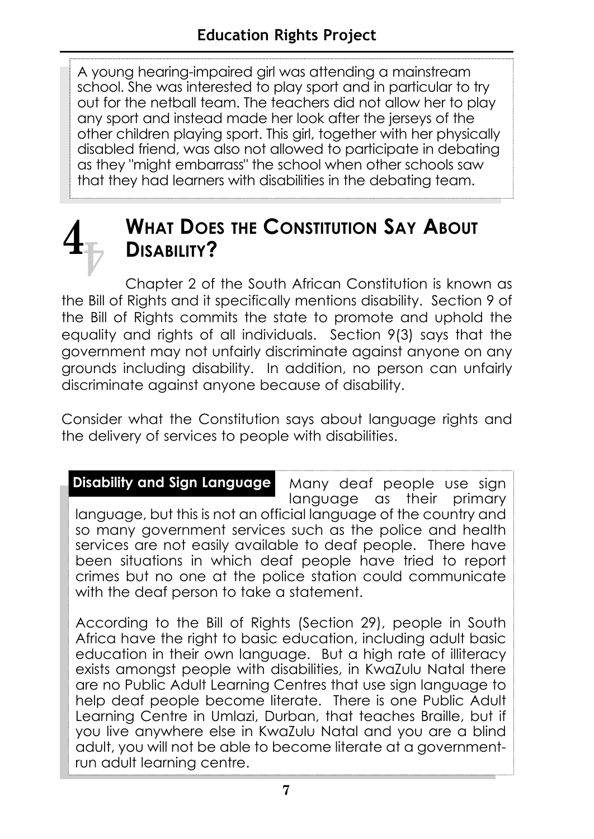A young hearing-impaired girl was attending a mainstream school. She was interested to play sport and in particular to try out for the netball team. The teachers did not allow her to play any sport and instead made her look after the jerseys of the other children playing sport. This girl, together with her physically disabled friend, was also not allowed to participate in debating as they "might embarrass" the school when other schools saw that they had learners with disabilities in the debating team.

 $\mathbf{4}_{\overline{\mathbb{F}}}$ 

# **WHAT DOES THE CONSTITUTION SAY ABOUT DISABILITY?**

Chapter 2 of the South African Constitution is known as the Bill of Rights and it specifically mentions disability. Section 9 of the Bill of Rights commits the state to promote and uphold the equality and rights of all individuals. Section 9(3) says that the government may not unfairly discriminate against anyone on any grounds including disability. In addition, no person can unfairly discriminate against anyone because of disability.

Consider what the Constitution says about language rights and the delivery of services to people with disabilities.

Many deaf people use sign language as their primary language, but this is not an official language of the country and so many government services such as the police and health services are not easily available to deaf people. There have been situations in which deaf people have tried to report crimes but no one at the police station could communicate with the deaf person to take a statement. **Disability and Sign Language**

According to the Bill of Rights (Section 29), people in South Africa have the right to basic education, including adult basic education in their own language. But a high rate of illiteracy exists amongst people with disabilities, in KwaZulu Natal there are no Public Adult Learning Centres that use sign language to help deaf people become literate. There is one Public Adult Learning Centre in Umlazi, Durban, that teaches Braille, but if you live anywhere else in KwaZulu Natal and you are a blind adult, you will not be able to become literate at a governmentrun adult learning centre.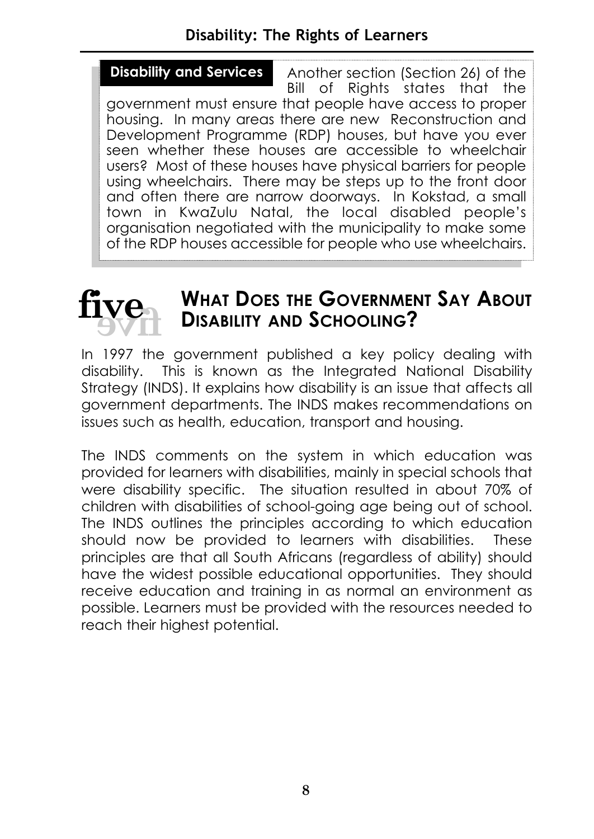#### **Disability: The Rights of Learners**

Another section (Section 26) of the Bill of Rights states that the government must ensure that people have access to proper housing. In many areas there are new Reconstruction and Development Programme (RDP) houses, but have you ever seen whether these houses are accessible to wheelchair users? Most of these houses have physical barriers for people using wheelchairs. There may be steps up to the front door and often there are narrow doorways. In Kokstad, a small town in KwaZulu Natal, the local disabled people's organisation negotiated with the municipality to make some of the RDP houses accessible for people who use wheelchairs. **Disability and Services**



## **WHAT DOES THE GOVERNMENT SAY ABOUT DISABILITY AND SCHOOLING?**

In 1997 the government published a key policy dealing with disability. This is known as the Integrated National Disability Strategy (INDS). It explains how disability is an issue that affects all government departments. The INDS makes recommendations on issues such as health, education, transport and housing.

The INDS comments on the system in which education was provided for learners with disabilities, mainly in special schools that were disability specific. The situation resulted in about 70% of children with disabilities of school-going age being out of school. The INDS outlines the principles according to which education should now be provided to learners with disabilities. These principles are that all South Africans (regardless of ability) should have the widest possible educational opportunities. They should receive education and training in as normal an environment as possible. Learners must be provided with the resources needed to reach their highest potential.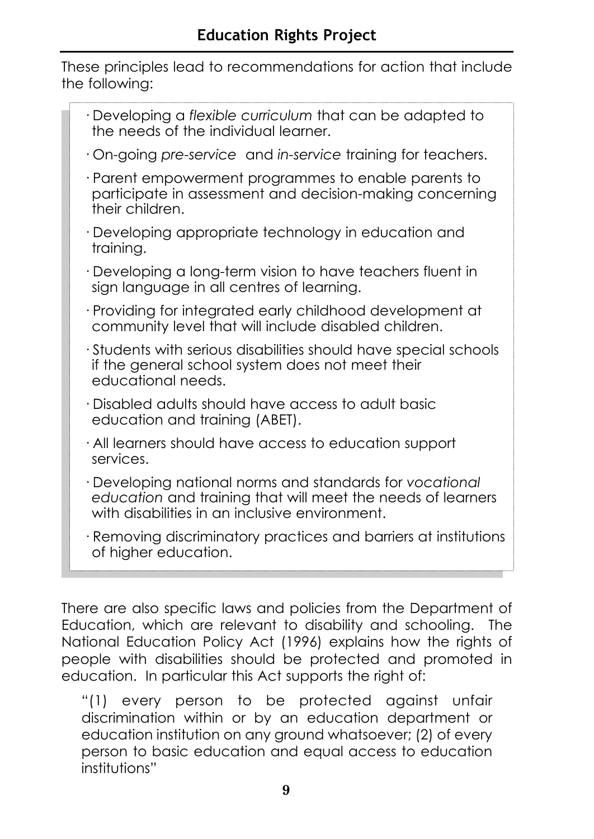These principles lead to recommendations for action that include the following:

There are also specific laws and policies from the Department of Education, which are relevant to disability and schooling. The National Education Policy Act (1996) explains how the rights of people with disabilities should be protected and promoted in education. In particular this Act supports the right of:

"(1) every person to be protected against unfair discrimination within or by an education department or education institution on any ground whatsoever; (2) of every person to basic education and equal access to education institutions"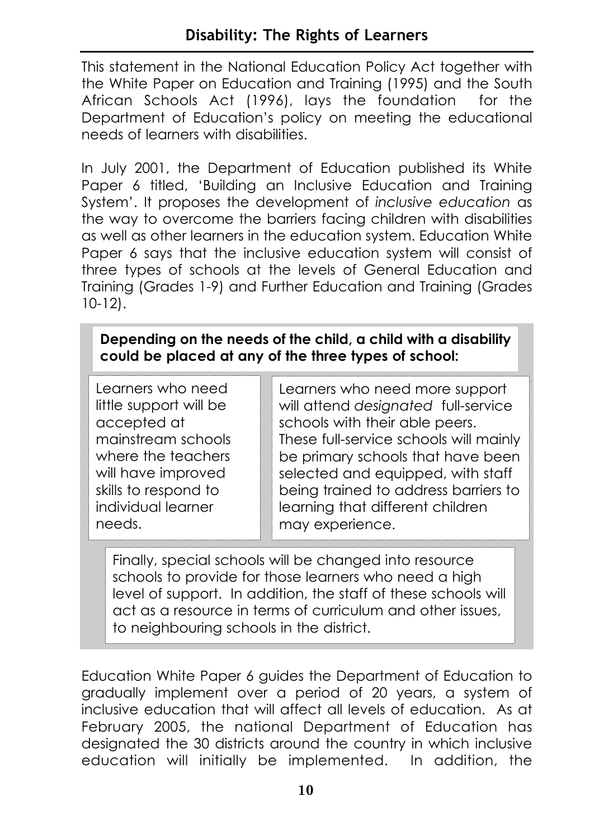This statement in the National Education Policy Act together with the White Paper on Education and Training (1995) and the South African Schools Act (1996), lays the foundation for the Department of Education's policy on meeting the educational needs of learners with disabilities.

In July 2001, the Department of Education published its White Paper 6 titled, 'Building an Inclusive Education and Training System'. It proposes the development of *inclusive education* as the way to overcome the barriers facing children with disabilities as well as other learners in the education system. Education White Paper 6 says that the inclusive education system will consist of three types of schools at the levels of General Education and Training (Grades 1-9) and Further Education and Training (Grades 10-12).

#### **Depending on the needs of the child, a child with a disability could be placed at any of the three types of school:**

Learners who need little support will be accepted at mainstream schools where the teachers will have improved skills to respond to individual learner needs.

Learners who need more support will attend *designated* full-service schools with their able peers. These full-service schools will mainly be primary schools that have been selected and equipped, with staff being trained to address barriers to learning that different children may experience.

Finally, special schools will be changed into resource schools to provide for those learners who need a high level of support. In addition, the staff of these schools will act as a resource in terms of curriculum and other issues, to neighbouring schools in the district.

Education White Paper 6 guides the Department of Education to gradually implement over a period of 20 years, a system of inclusive education that will affect all levels of education. As at February 2005, the national Department of Education has designated the 30 districts around the country in which inclusive education will initially be implemented. In addition, the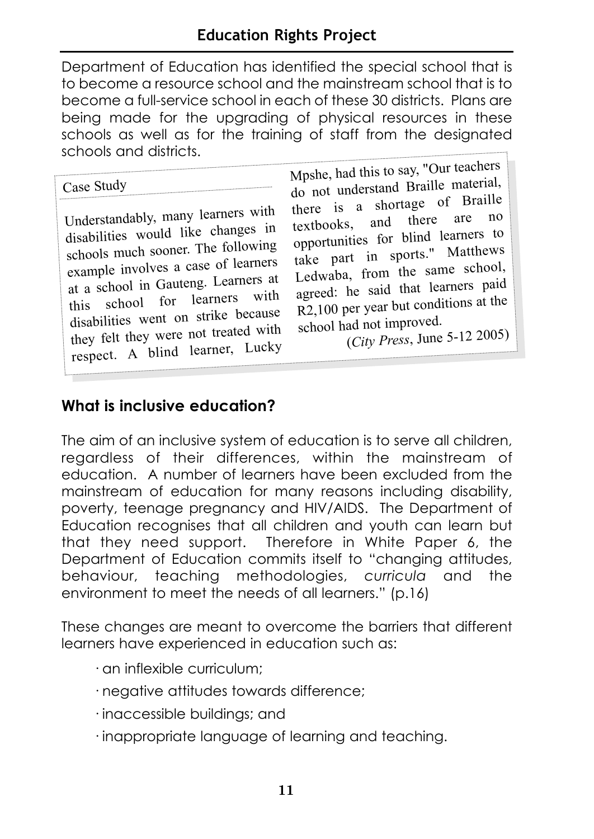Department of Education has identified the special school that is to become a resource school and the mainstream school that is to become a full-service school in each of these 30 districts. Plans are being made for the upgrading of physical resources in these schools as well as for the training of staff from the designated schools and districts.

Case Study

Understandably, many learners with disabilities would like changes in schools much sooner. The following example involves a case of learners at a school in Gauteng. Learners at this school for learners with disabilities went on strike because they felt they were not treated with respect. A blind learner, Lucky

Mpshe, had this to say, "Our teachers do not understand Braille material, there is a shortage of Braille textbooks, and there are opportunities for blind learners to take part in sports." Matthews Ledwaba, from the same school, agreed: he said that learners paid R2,100 per year but conditions at the school had not improved.

(*City Press*, June 5-12 2005)

#### **What is inclusive education?**

The aim of an inclusive system of education is to serve all children, regardless of their differences, within the mainstream of education. A number of learners have been excluded from the mainstream of education for many reasons including disability, poverty, teenage pregnancy and HIV/AIDS. The Department of Education recognises that all children and youth can learn but that they need support. Therefore in White Paper 6, the Department of Education commits itself to "changing attitudes, behaviour, teaching methodologies, *curricula* and the environment to meet the needs of all learners." (p.16)

These changes are meant to overcome the barriers that different learners have experienced in education such as:

- · an inflexible curriculum;
- · negative attitudes towards difference;
- · inaccessible buildings; and
- · inappropriate language of learning and teaching.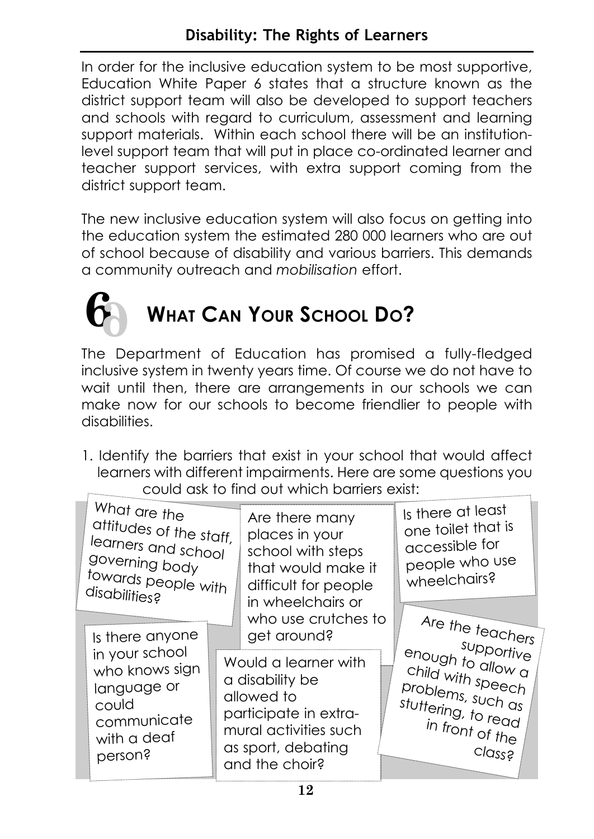In order for the inclusive education system to be most supportive, Education White Paper 6 states that a structure known as the district support team will also be developed to support teachers and schools with regard to curriculum, assessment and learning support materials. Within each school there will be an institutionlevel support team that will put in place co-ordinated learner and teacher support services, with extra support coming from the district support team.

The new inclusive education system will also focus on getting into the education system the estimated 280 000 learners who are out of school because of disability and various barriers. This demands a community outreach and *mobilisation* effort.



# **WHAT CAN YOUR SCHOOL DO?**

The Department of Education has promised a fully-fledged inclusive system in twenty years time. Of course we do not have to wait until then, there are arrangements in our schools we can make now for our schools to become friendlier to people with disabilities.

1. Identify the barriers that exist in your school that would affect learners with different impairments. Here are some questions you could ask to find out which barriers exist:

| What are the<br>attitudes of the staff,<br>learners and school<br>governing body<br>towards people with<br>disabilities? | Are there many<br>places in your<br>school with steps<br>that would make it<br>difficult for people<br>in wheelchairs or<br>who use crutches to | Is there at least<br>one toilet that is<br>accessible for<br>people who use<br>wheelchairs? |  |  |
|--------------------------------------------------------------------------------------------------------------------------|-------------------------------------------------------------------------------------------------------------------------------------------------|---------------------------------------------------------------------------------------------|--|--|
| Is there anyone                                                                                                          | get around?                                                                                                                                     | Are the teachers                                                                            |  |  |
| in your school                                                                                                           | Would a learner with                                                                                                                            | supportive                                                                                  |  |  |
| who knows sign                                                                                                           | a disability be                                                                                                                                 | enough to allow $\alpha$                                                                    |  |  |
| language or                                                                                                              | allowed to                                                                                                                                      | child with speech                                                                           |  |  |
| could                                                                                                                    | participate in extra-                                                                                                                           | problems, such as                                                                           |  |  |
| communicate                                                                                                              | mural activities such                                                                                                                           | stuttering, to read                                                                         |  |  |
| with a deaf                                                                                                              | as sport, debating                                                                                                                              | in front of the                                                                             |  |  |
| person?                                                                                                                  | and the choir?                                                                                                                                  | class?                                                                                      |  |  |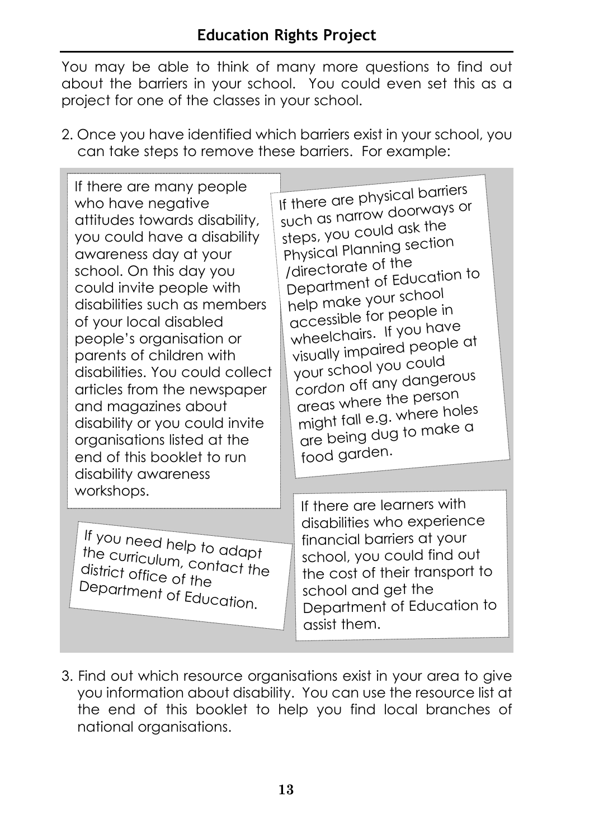You may be able to think of many more questions to find out about the barriers in your school. You could even set this as a project for one of the classes in your school.

2. Once you have identified which barriers exist in your school, you can take steps to remove these barriers. For example:

If there are many people who have negative attitudes towards disability, you could have a disability awareness day at your school. On this day you could invite people with disabilities such as members of your local disabled people's organisation or parents of children with disabilities. You could collect articles from the newspaper and magazines about disability or you could invite organisations listed at the end of this booklet to run disability awareness workshops.

If you need help to adapt the curriculum, contact the district office of the Department of Education.

If there are physical barriers such as narrow doorways or steps, you could ask the Physical Planning section /directorate of the Department of Education to help make your school accessible for people in wheelchairs. If you have visually impaired people at your school you could *cordon* off any dangerous areas where the person might fall e.g. where holes are being dug to make a food garden.

> If there are learners with disabilities who experience financial barriers at your school, you could find out the cost of their transport to school and get the Department of Education to assist them.

3. Find out which resource organisations exist in your area to give you information about disability. You can use the resource list at the end of this booklet to help you find local branches of national organisations.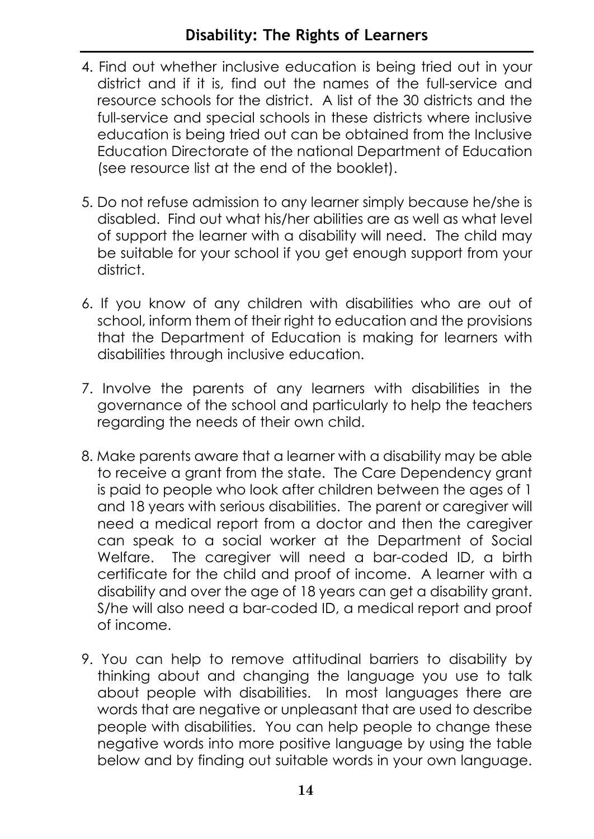- 4. Find out whether inclusive education is being tried out in your district and if it is, find out the names of the full-service and resource schools for the district. A list of the 30 districts and the full-service and special schools in these districts where inclusive education is being tried out can be obtained from the Inclusive Education Directorate of the national Department of Education (see resource list at the end of the booklet).
- 5. Do not refuse admission to any learner simply because he/she is disabled. Find out what his/her abilities are as well as what level of support the learner with a disability will need. The child may be suitable for your school if you get enough support from your district.
- 6. If you know of any children with disabilities who are out of school, inform them of their right to education and the provisions that the Department of Education is making for learners with disabilities through inclusive education.
- 7. Involve the parents of any learners with disabilities in the governance of the school and particularly to help the teachers regarding the needs of their own child.
- 8. Make parents aware that a learner with a disability may be able to receive a grant from the state. The Care Dependency grant is paid to people who look after children between the ages of 1 and 18 years with serious disabilities. The parent or caregiver will need a medical report from a doctor and then the caregiver can speak to a social worker at the Department of Social Welfare. The caregiver will need a bar-coded ID, a birth certificate for the child and proof of income. A learner with a disability and over the age of 18 years can get a disability grant. S/he will also need a bar-coded ID, a medical report and proof of income.
- 9. You can help to remove attitudinal barriers to disability by thinking about and changing the language you use to talk about people with disabilities. In most languages there are words that are negative or unpleasant that are used to describe people with disabilities. You can help people to change these negative words into more positive language by using the table below and by finding out suitable words in your own language.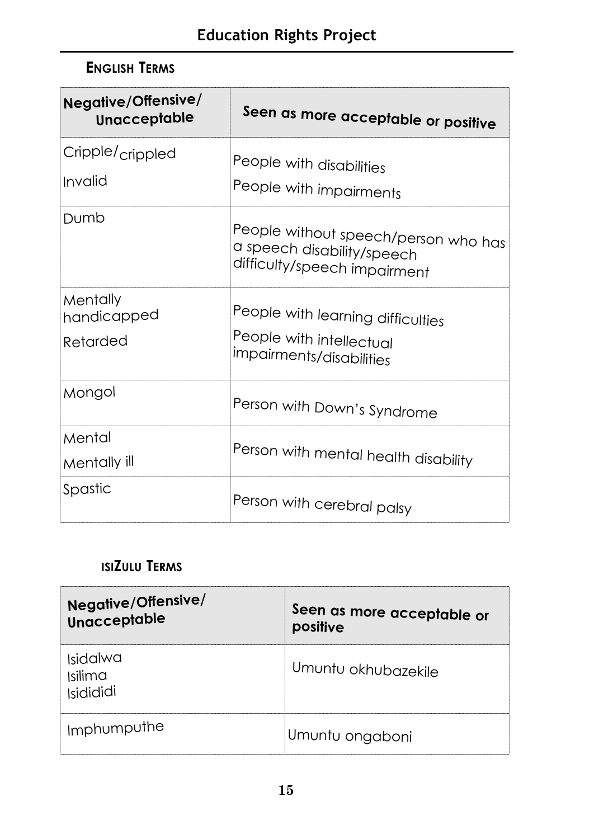## **ENGLISH TERMS**

| <b>Negative/Offensive/</b><br>Unacceptable | Seen as more acceptable or positive                                                                |
|--------------------------------------------|----------------------------------------------------------------------------------------------------|
| Cripple/ <sub>crippled</sub><br>Invalid    | People with disabilities                                                                           |
|                                            | People with impairments                                                                            |
| Dumb                                       | People without speech/person who has<br>a speech disability/speech<br>difficulty/speech impairment |
| Mentally<br>handicapped                    | People with learning difficulties                                                                  |
| Retarded                                   | People with intellectual<br>impairments/disabilities                                               |
| Mongol                                     | Person with Down's Syndrome                                                                        |
| Mental                                     |                                                                                                    |
| Mentally ill                               | Person with mental health disability                                                               |
| Spastic                                    | Person with cerebral palsy                                                                         |

### **ISIZULU TERMS**

| Negative/Offensive/<br>Unacceptable | Seen as more acceptable or<br>positive |
|-------------------------------------|----------------------------------------|
| Isidalwa<br>Isilima<br>Isidididi    | Umuntu okhubazekile                    |
| Imphumputhe                         | Umuntu ongaboni                        |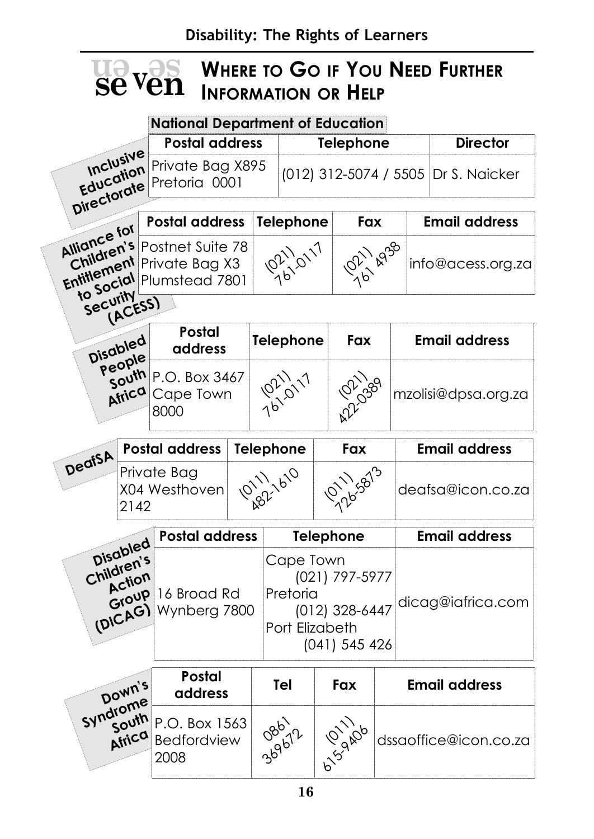#### **WHERE TO GO IF YOU NEED FURTHER INFORMATION OR HELP en v se sevven**

#### **National Department of Education**

|                                                |                               | <b>Postal address</b>                       |                                    | <b>Telephone</b> |                                         |  | <b>Director</b>                                   |                      |        |                       |  |                     |
|------------------------------------------------|-------------------------------|---------------------------------------------|------------------------------------|------------------|-----------------------------------------|--|---------------------------------------------------|----------------------|--------|-----------------------|--|---------------------|
| <b>Inclusive</b><br>Education<br>Directorate   |                               | Private Bag X895<br>Pretoria 0001           |                                    |                  |                                         |  | (012) 312-5074 / 5505   Dr S. Naicker             |                      |        |                       |  |                     |
|                                                |                               | <b>Postal address</b>                       |                                    |                  |                                         |  | Fax                                               |                      |        | <b>Email address</b>  |  |                     |
| Alliance for                                   |                               |                                             |                                    |                  | Telephone                               |  |                                                   |                      |        |                       |  |                     |
| Children's                                     |                               | Postnet Suite 78<br>Children Private Bag X3 |                                    | 10211.0117       |                                         |  | 1011 Ag30                                         |                      |        | info@acess.org.za     |  |                     |
| Security                                       | (ACESS)                       |                                             |                                    |                  |                                         |  |                                                   |                      |        |                       |  |                     |
|                                                | Disabled                      | <b>Postal</b><br>address                    |                                    |                  | <b>Telephone</b>                        |  | Fax                                               |                      |        | <b>Email address</b>  |  |                     |
|                                                | People<br>south<br>Africa     |                                             | P.O. Box 3467<br>Cape Town<br>8000 |                  | 7611/17                                 |  |                                                   |                      | A22399 |                       |  | mzolisi@dpsa.org.za |
|                                                |                               | <b>Postal address</b>                       |                                    |                  | Fax<br><b>Telephone</b>                 |  |                                                   | <b>Email address</b> |        |                       |  |                     |
| DeafSA<br>Private Bag<br>X04 Westhoven<br>2142 |                               | 101111610                                   |                                    | 011/5873         |                                         |  |                                                   | deafsa@icon.co.za    |        |                       |  |                     |
|                                                |                               | <b>Postal address</b>                       |                                    |                  |                                         |  | Telephone                                         |                      |        | <b>Email address</b>  |  |                     |
| Children's                                     | Disabled<br>Action<br>(DICAG) | Group 16 Broad Rd<br>Wynberg 7800           |                                    |                  | Cape Town<br>Pretoria<br>Port Elizabeth |  | (021) 797-5977<br>(012) 328-6447<br>(041) 545 426 |                      |        | dicag@iafrica.com     |  |                     |
|                                                | Down's                        | <b>Postal</b><br>address                    |                                    |                  | <b>Tel</b>                              |  | Fax                                               |                      |        | <b>Email address</b>  |  |                     |
| Syndrome                                       | south<br>Africa               | P.O. Box 1563<br><b>Bedfordview</b><br>2008 |                                    |                  | 369677                                  |  | 6157-00-1106                                      |                      |        | dssaoffice@icon.co.za |  |                     |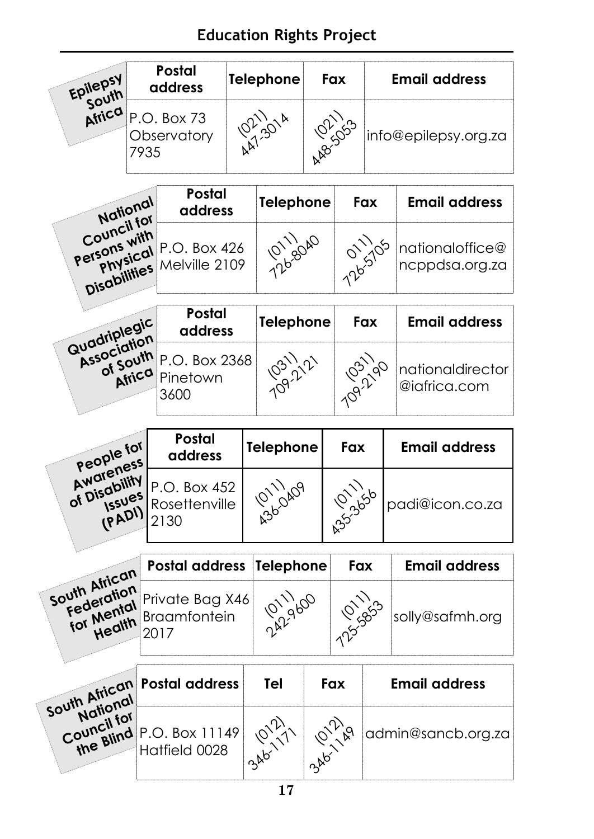# **Education Rights Project**

| Epilepsy<br>south                                   | Postal<br>address                  |                                                | <b>Telephone</b> |                  |     | Fax<br>Email address |           |                                   |  |
|-----------------------------------------------------|------------------------------------|------------------------------------------------|------------------|------------------|-----|----------------------|-----------|-----------------------------------|--|
| Africa                                              | P.O. Box 73<br>Observatory<br>7935 |                                                |                  |                  |     | <b>PR-1553</b>       |           | info@epilepsy.org.za              |  |
| National                                            |                                    | <b>Postal</b><br>address                       |                  | <b>Telephone</b> |     |                      | Fax       | <b>Email address</b>              |  |
| Council for<br>Persons with                         |                                    | pons vical P.O. Box 426<br>Ally Nelville 2109  |                  | 126-8040         |     | 126-5105             |           | nationaloffice@<br>ncppdsa.org.za |  |
| Quadriplegic                                        |                                    | Postal<br>address                              |                  | <b>Telephone</b> |     |                      | Fax       | <b>Email address</b>              |  |
| Association<br>of South                             | Africa                             | P.O. Box 2368<br>Pinetown<br>3600              |                  |                  |     |                      | 109.21.90 | nationaldirector<br>@iafrica.com  |  |
|                                                     |                                    | Postal                                         |                  | <b>Telephone</b> |     | Fax                  |           | <b>Email address</b>              |  |
| People for<br>Awareness                             |                                    | address                                        |                  |                  |     |                      |           |                                   |  |
| of Disability<br><b>Issues</b><br>(PADI)            |                                    | P.O. Box 452<br>Rosettenville<br>2130          | A3611109         |                  |     |                      |           | padi@icon.co.za                   |  |
|                                                     |                                    |                                                |                  |                  |     |                      |           |                                   |  |
|                                                     |                                    | <b>Postal address</b>                          |                  | <b>Telephone</b> |     | Fax                  |           | <b>Email address</b>              |  |
| South African<br>Federation<br>for Mental<br>Health |                                    | Private Bag X46<br><b>Braamfontein</b><br>2017 |                  |                  |     |                      |           | solly@safmh.org                   |  |
| South African<br>National<br>Council for            |                                    | <b>Postal address</b>                          |                  | Tel<br>346-1711  | Fax |                      |           | <b>Email address</b>              |  |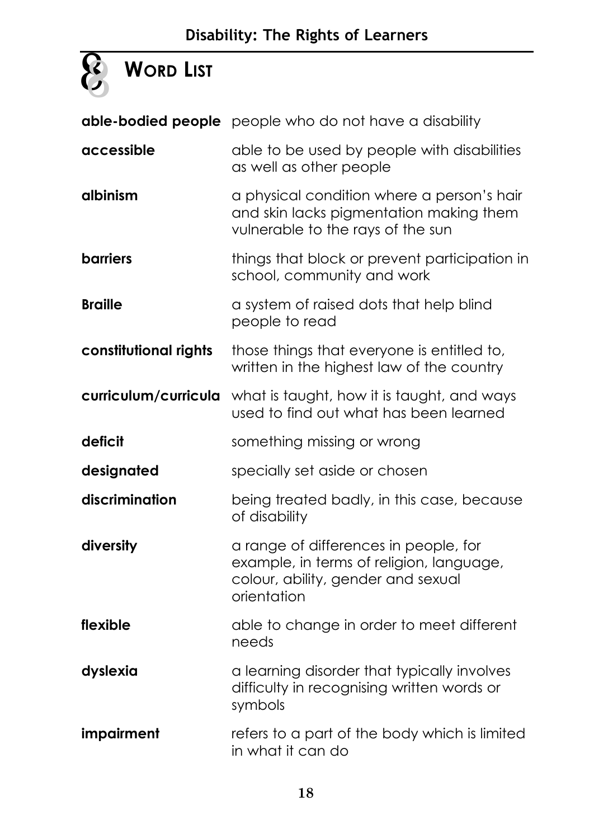# **Disability: The Rights of Learners**

# **WORD LIST**

|                       | able-bodied people people who do not have a disability                                                                                 |
|-----------------------|----------------------------------------------------------------------------------------------------------------------------------------|
| accessible            | able to be used by people with disabilities<br>as well as other people                                                                 |
| albinism              | a physical condition where a person's hair<br>and skin lacks pigmentation making them<br>vulnerable to the rays of the sun             |
| <b>barriers</b>       | things that block or prevent participation in<br>school, community and work                                                            |
| <b>Braille</b>        | a system of raised dots that help blind<br>people to read                                                                              |
| constitutional rights | those things that everyone is entitled to,<br>written in the highest law of the country                                                |
| curriculum/curricula  | what is taught, how it is taught, and ways<br>used to find out what has been learned                                                   |
| deficit               | something missing or wrong                                                                                                             |
| designated            | specially set aside or chosen                                                                                                          |
| discrimination        | being treated badly, in this case, because<br>of disability                                                                            |
| diversity             | a range of differences in people, for<br>example, in terms of religion, language,<br>colour, ability, gender and sexual<br>orientation |
| flexible              | able to change in order to meet different<br>needs                                                                                     |
| dyslexia              | a learning disorder that typically involves<br>difficulty in recognising written words or<br>symbols                                   |
| impairment            | refers to a part of the body which is limited<br>in what it can do                                                                     |